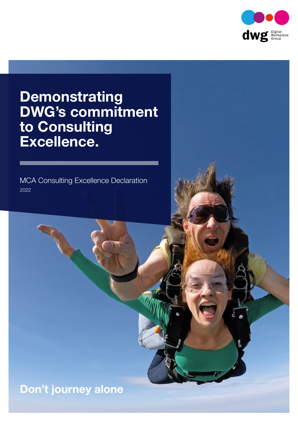

## **Demonstrating** DWG's commitment to Consulting Excellence.

MCA Consulting Excellence Declaration 2022

## Don't journey alone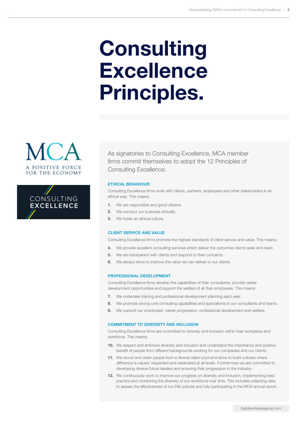# **Consulting Excellence** Principles.





As signatories to Consulting Excellence, MCA member firms commit themselves to adopt the 12 Principles of Consulting Excellence:

#### ETHICAL BEHAVIOUR

Consulting Excellence firms work with clients, partners, employees and other stakeholders in an ethical way. This means:

- 1. We are responsible and good citizens.
- 2. We conduct our business ethically.
- 3. We foster an ethical culture.

#### CLIENT SERVICE AND VALUE

Consulting Excellence firms promote the highest standards of client service and value. This means:

- 4. We provide excellent consulting services which deliver the outcomes clients seek and need.
- **5.** We are transparent with clients and respond to their concerns.
- **6.** We always strive to improve the value we can deliver to our clients.

#### PROFESSIONAL DEVELOPMENT

Consulting Excellence firms develop the capabilities of their consultants, provide career development opportunities and support the welfare of all their employees. This means:

- 7. We undertake training and professional development planning each year.
- 8. We promote strong core consulting capabilities and specialisms in our consultants and teams.
- 9. We support our employees' career progression, professional development and welfare.

#### COMMITMENT TO DIVERSITY AND INCLUSION

Consulting Excellence firms are committed to diversity and inclusion within their workplace and workforce. This means:

- 10. We respect and embrace diversity and inclusion and understand the importance and positive benefit of people from different backgrounds working for our companies and our clients.
- 11. We recruit and retain people from a diverse talent pool and strive to build cultures where difference is valued, respected and celebrated at all levels. Furthermore we are committed to developing diverse future leaders and ensuring their progression in the industry.
- 12. We continuously work to improve our progress on diversity and inclusion, implementing best practice and monitoring the diversity of our workforce over time. This includes collecting data to assess the effectiveness of our D&I policies and fully participating in the MCA annual report.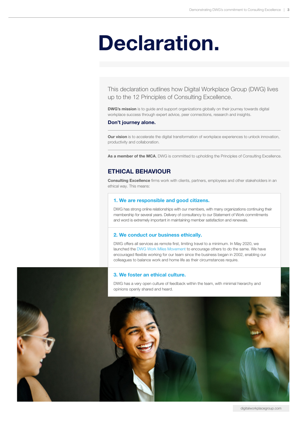# Declaration.

This declaration outlines how Digital Workplace Group (DWG) lives up to the 12 Principles of Consulting Excellence.

**DWG's mission** is to guide and support organizations globally on their journey towards digital workplace success through expert advice, peer connections, research and insights.

#### Don't journey alone.

Our vision is to accelerate the digital transformation of workplace experiences to unlock innovation, productivity and collaboration.

As a member of the MCA, DWG is committed to upholding the Principles of Consulting Excellence.

### ETHICAL BEHAVIOUR

Consulting Excellence firms work with clients, partners, employees and other stakeholders in an ethical way. This means:

#### 1. We are responsible and good citizens.

DWG has strong online relationships with our members, with many organizations continuing their membership for several years. Delivery of consultancy to our Statement of Work commitments and word is extremely important in maintaining member satisfaction and renewals.

#### 2. We conduct our business ethically.

DWG offers all services as remote first, limiting travel to a minimum. In May 2020, we launched the [DWG Work Miles Movement](https://digitalworkplacegroup.com/workmilesmovement/) to encourage others to do the same. We have encouraged flexible working for our team since the business began in 2002, enabling our colleagues to balance work and home life as their circumstances require.

#### 3. We foster an ethical culture.

DWG has a very open culture of feedback within the team, with minimal hierarchy and opinions openly shared and heard.

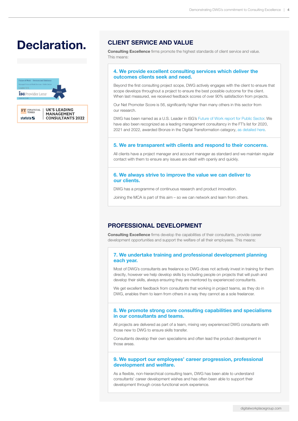## Declaration. CLIENT SERVICE AND VALUE



Consulting Excellence firms promote the highest standards of client service and value. This means:

#### 4. We provide excellent consulting services which deliver the outcomes clients seek and need.

Beyond the first consulting project scope, DWG actively engages with the client to ensure that scope develops throughout a project to ensure the best possible outcome for the client. When last measured, we received feedback scores of over 90% satisfaction from projects.

Our Net Promoter Score is 56, significantly higher than many others in this sector from our research.

DWG has been named as a U.S. Leader in ISG's [Future of Work report for Public Sector](https://digitalworkplacegroup.com/news-releases/digital-workplace-group-named-as-us-leader-in-isg-future-of-work-report-for-public-sector/). We have also been recognized as a leading management consultancy in the FT's list for 2020, 2021 and 2022, awarded Bronze in the Digital Transformation category, [as detailed here](https://digitalworkplacegroup.com/news-releases/dwg-recognized-as-leader-in-digital-transformation-for-third-year-running/).

#### 5. We are transparent with clients and respond to their concerns.

All clients have a project manager and account manager as standard and we maintain regular contact with them to ensure any issues are dealt with openly and quickly.

#### 6. We always strive to improve the value we can deliver to our clients.

DWG has a programme of continuous research and product innovation.

Joining the MCA is part of this aim – so we can network and learn from others.

### PROFESSIONAL DEVELOPMENT

Consulting Excellence firms develop the capabilities of their consultants, provide career development opportunities and support the welfare of all their employees. This means:

#### 7. We undertake training and professional development planning each year.

Most of DWG's consultants are freelance so DWG does not actively invest in training for them directly, however we help develop skills by including people on projects that will push and develop their skills, always ensuring they are mentored by experienced consultants.

We get excellent feedback from consultants that working in project teams, as they do in DWG, enables them to learn from others in a way they cannot as a sole freelancer.

#### 8. We promote strong core consulting capabilities and specialisms in our consultants and teams.

All projects are delivered as part of a team, mixing very experienced DWG consultants with those new to DWG to ensure skills transfer.

Consultants develop their own specialisms and often lead the product development in those areas.

#### 9. We support our employees' career progression, professional development and welfare.

As a flexible, non-hierarchical consulting team, DWG has been able to understand consultants' career development wishes and has often been able to support their development through cross-functional work experience.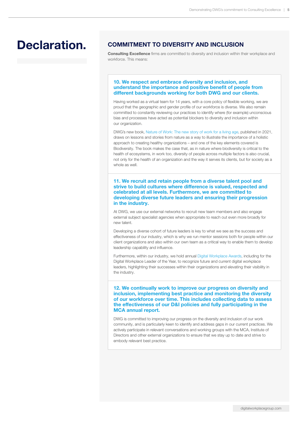## Declaration. COMMITMENT TO DIVERSITY AND INCLUSION

Consulting Excellence firms are committed to diversity and inclusion within their workplace and workforce. This means:

#### 10. We respect and embrace diversity and inclusion, and understand the importance and positive benefit of people from different backgrounds working for both DWG and our clients.

Having worked as a virtual team for 14 years, with a core policy of flexible working, we are proud that the geographic and gender profile of our workforce is diverse. We also remain committed to constantly reviewing our practices to identify where (for example) unconscious bias and processes have acted as potential blockers to diversity and inclusion within our organization.

DWG's new book, [Nature of Work: The new story of work for a living age](https://natureofwork.com), published in 2021, draws on lessons and stories from nature as a way to illustrate the importance of a holistic approach to creating healthy organizations – and one of the key elements covered is Biodiversity. The book makes the case that, as in nature where biodiversity is critical to the health of ecosystems, in work too, diversity of people across multiple factors is also crucial, not only for the health of an organization and the way it serves its clients, but for society as a whole as well.

11. We recruit and retain people from a diverse talent pool and strive to build cultures where difference is valued, respected and celebrated at all levels. Furthermore, we are committed to developing diverse future leaders and ensuring their progression in the industry.

At DWG, we use our external networks to recruit new team members and also engage external subject specialist agencies when appropriate to reach out even more broadly for new talent.

Developing a diverse cohort of future leaders is key to what we see as the success and effectiveness of our industry, which is why we run mentor sessions both for people within our client organizations and also within our own team as a critical way to enable them to develop leadership capability and influence.

Furthermore, within our industry, we hold annual [Digital Workplace Awards,](https://digitalworkplacegroup.com/digital-workplace-year-awards) including for the Digital Workplace Leader of the Year, to recognize future and current digital workplace leaders, highlighting their successes within their organizations and elevating their visibility in the industry.

12. We continually work to improve our progress on diversity and inclusion, implementing best practice and monitoring the diversity of our workforce over time. This includes collecting data to assess the effectiveness of our D&I policies and fully participating in the MCA annual report.

DWG is committed to improving our progress on the diversity and inclusion of our work community, and is particularly keen to identify and address gaps in our current practices. We actively participate in relevant conversations and working groups with the MCA, Institute of Directors and other external organizations to ensure that we stay up to date and strive to embody relevant best practice.